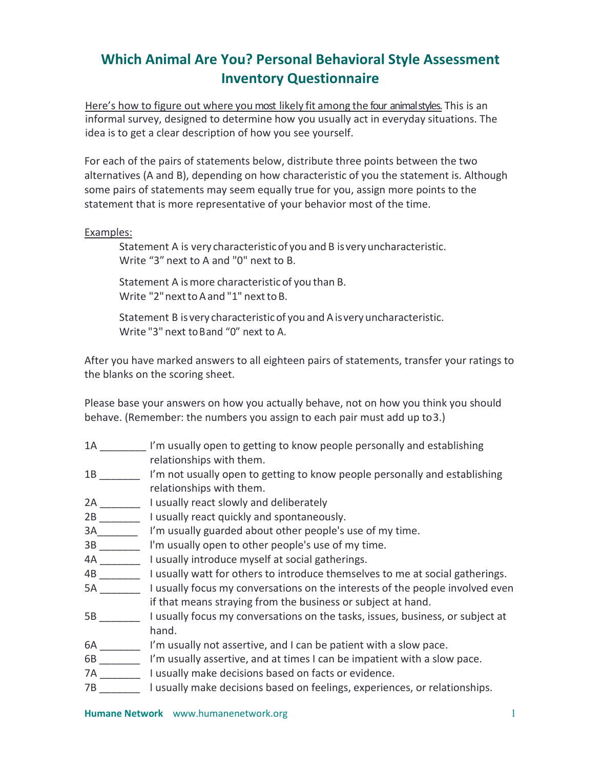## **Which Animal Are You? Personal Behavioral Style Assessment Inventory Questionnaire**

Here's how to figure out where you most likely fit among the four animal styles. This is an informal survey, designed to determine how you usually act in everyday situations. The idea is to get a clear description of how you see yourself.

For each of the pairs of statements below, distribute three points between the two alternatives (A and B), depending on how characteristic of you the statement is. Although some pairs of statements may seem equally true for you, assign more points to the statement that is more representative of your behavior most of the time.

## Examples:

Statement A is very characteristicof you and B isveryuncharacteristic. Write "3" next to A and "0" next to B.

Statement A ismore characteristicof you than B. Write "2" next to A and "1" next to B.

Statement B isvery characteristicof you and Aisvery uncharacteristic. Write "3" next toBand "0" next to A.

After you have marked answers to all eighteen pairs of statements, transfer your ratings to the blanks on the scoring sheet.

Please base your answers on how you actually behave, not on how you think you should behave. (Remember: the numbers you assign to each pair must add up to3.)

- 1A \_\_\_\_\_\_\_\_ I'm usually open to getting to know people personally and establishing relationships with them.
- 1B \_\_\_\_\_\_\_ I'm not usually open to getting to know people personally and establishing relationships with them.
- 2A lusually react slowly and deliberately
- 2B \_\_\_\_\_\_\_\_\_\_ I usually react quickly and spontaneously.
- 3A\_\_\_\_\_\_\_ I'm usually guarded about other people's use of my time.
- 3B \_\_\_\_\_\_\_\_ l'm usually open to other people's use of my time.
- 4A \_\_\_\_\_\_\_ I usually introduce myself at social gatherings.
- 4B \_\_\_\_\_\_\_ I usually watt for others to introduce themselves to me at social gatherings.
- 5A \_\_\_\_\_\_\_ I usually focus my conversations on the interests of the people involved even if that means straying from the business or subject at hand.
- 5B \_\_\_\_\_\_\_\_ I usually focus my conversations on the tasks, issues, business, or subject at hand.
- 6A \_\_\_\_\_\_\_\_ I'm usually not assertive, and I can be patient with a slow pace.
- 6B \_\_\_\_\_\_\_ I'm usually assertive, and at times I can be impatient with a slow pace.
- 7A \_\_\_\_\_\_\_ I usually make decisions based on facts or evidence.
- 7B \_\_\_\_\_\_\_ l usually make decisions based on feelings, experiences, or relationships.